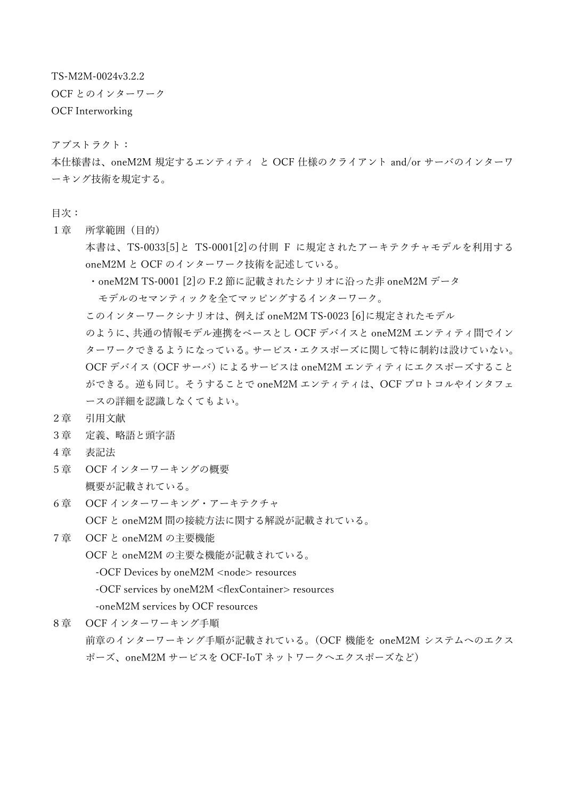TS-M2M-0024v3.2.2

OCF とのインターワーク

OCF Interworking

アブストラクト:

本仕様書は、oneM2M 規定するエンティティ と OCF 仕様のクライアント and/or サーバのインターワ ーキング技術を規定する。

- 目次:
- 1章 所掌範囲(目的)

本書は、TS-0033[5]と TS-0001[2]の付則 F に規定されたアーキテクチャモデルを利用する oneM2M と OCF のインターワーク技術を記述している。

・oneM2M TS-0001 [2]の F.2 節に記載されたシナリオに沿った非 oneM2M データ

モデルのセマンティックを全てマッピングするインターワーク。

このインターワークシナリオは、例えば oneM2M TS-0023 [6]に規定されたモデル

のように、共通の情報モデル連携をベースとし OCF デバイスと oneM2M エンティティ間でイン ターワークできるようになっている。サービス・エクスポーズに関して特に制約は設けていない。 OCF デバイス (OCF サーバ) によるサービスは oneM2M エンティティにエクスポーズすること ができる。逆も同じ。そうすることで oneM2M エンティティは、OCF プロトコルやインタフェ ースの詳細を認識しなくてもよい。

- 2章 引用文献
- 3章 定義、略語と頭字語
- 4章 表記法
- 5章 OCF インターワーキングの概要 概要が記載されている。
- 6章 OCF インターワーキング・アーキテクチャ OCF と oneM2M 間の接続方法に関する解説が記載されている。
- 7章 OCF と oneM2M の主要機能

OCF と oneM2M の主要な機能が記載されている。

-OCF Devices by oneM2M <node> resources

-OCF services by oneM2M <flexContainer> resources

-oneM2M services by OCF resources

8章 OCF インターワーキング手順 前章のインターワーキング手順が記載されている。(OCF 機能を oneM2M システムへのエクス ポーズ、oneM2M サービスを OCF-IoT ネットワークへエクスポーズなど)